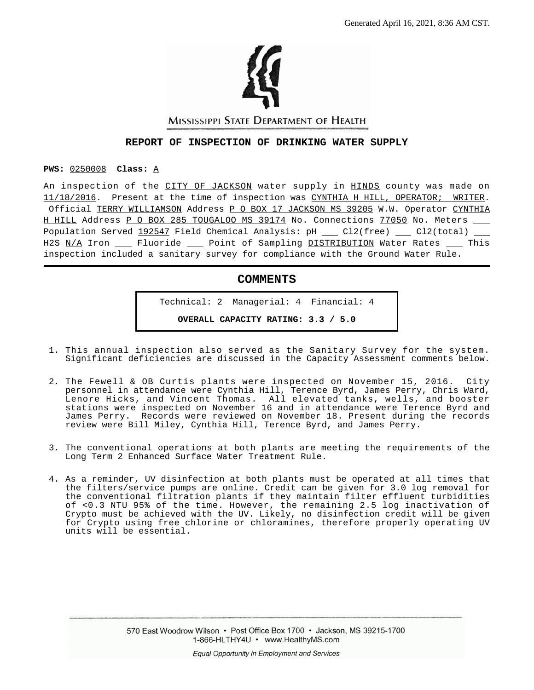

MISSISSIPPI STATE DEPARTMENT OF HEALTH

#### **REPORT OF INSPECTION OF DRINKING WATER SUPPLY**

#### **PWS:** 0250008 **Class:** A

An inspection of the CITY OF JACKSON water supply in HINDS county was made on 11/18/2016. Present at the time of inspection was CYNTHIA H HILL, OPERATOR; WRITER. Official TERRY WILLIAMSON Address P O BOX 17 JACKSON MS 39205 W.W. Operator CYNTHIA H HILL Address P O BOX 285 TOUGALOO MS 39174 No. Connections 77050 No. Meters \_\_ Population Served  $192547$  Field Chemical Analysis: pH  $\_\_$  Cl2(free)  $\_\_$  Cl2(total)  $\_\_$ H2S N/A Iron \_\_\_\_ Fluoride \_\_\_\_ Point of Sampling DISTRIBUTION Water Rates \_\_\_\_ This inspection included a sanitary survey for compliance with the Ground Water Rule.

## **COMMENTS**

Technical: 2 Managerial: 4 Financial: 4 **OVERALL CAPACITY RATING: 3.3 / 5.0**

- 1. This annual inspection also served as the Sanitary Survey for the system. Significant deficiencies are discussed in the Capacity Assessment comments below.
- 2. The Fewell & OB Curtis plants were inspected on November 15, 2016. City personnel in attendance were Cynthia Hill, Terence Byrd, James Perry, Chris Ward, Lenore Hicks, and Vincent Thomas. All elevated tanks, wells, and booster stations were inspected on November 16 and in attendance were Terence Byrd and James Perry. Records were reviewed on November 18. Present during the records review were Bill Miley, Cynthia Hill, Terence Byrd, and James Perry.
- 3. The conventional operations at both plants are meeting the requirements of the Long Term 2 Enhanced Surface Water Treatment Rule.
- 4. As a reminder, UV disinfection at both plants must be operated at all times that the filters/service pumps are online. Credit can be given for 3.0 log removal for the conventional filtration plants if they maintain filter effluent turbidities of <0.3 NTU 95% of the time. However, the remaining 2.5 log inactivation of Crypto must be achieved with the UV. Likely, no disinfection credit will be given for Crypto using free chlorine or chloramines, therefore properly operating UV units will be essential.

570 East Woodrow Wilson • Post Office Box 1700 • Jackson, MS 39215-1700 1-866-HLTHY4U • www.HealthyMS.com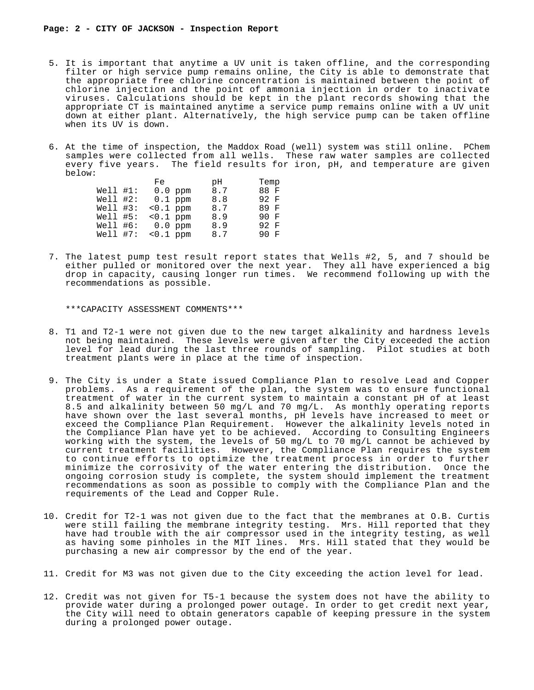- 5. It is important that anytime a UV unit is taken offline, and the corresponding filter or high service pump remains online, the City is able to demonstrate that the appropriate free chlorine concentration is maintained between the point of chlorine injection and the point of ammonia injection in order to inactivate viruses. Calculations should be kept in the plant records showing that the appropriate CT is maintained anytime a service pump remains online with a UV unit down at either plant. Alternatively, the high service pump can be taken offline when its UV is down.
- 6. At the time of inspection, the Maddox Road (well) system was still online. PChem samples were collected from all wells. These raw water samples are collected every five years. The field results for iron, pH, and temperature are given below:

|             | Fe          | рH  | Temp |  |
|-------------|-------------|-----|------|--|
| $Well1$ #1: | $0.0$ ppm   | 8.7 | 88 F |  |
| $Well1$ #2: | $0.1$ ppm   | 8.8 | 92 F |  |
| $Well1$ #3: | $< 0.1$ ppm | 8.7 | 89 F |  |
| $Well1$ #5: | $< 0.1$ ppm | 8.9 | 90 F |  |
| $Well1$ #6: | $0.0$ ppm   | 8.9 | 92 F |  |
| $Well1$ #7: | $0.1$ ppm   | 8.7 | 90 F |  |

 7. The latest pump test result report states that Wells #2, 5, and 7 should be either pulled or monitored over the next year. They all have experienced a big drop in capacity, causing longer run times. We recommend following up with the recommendations as possible.

\*\*\*CAPACITY ASSESSMENT COMMENTS\*\*\*

- 8. T1 and T2-1 were not given due to the new target alkalinity and hardness levels not being maintained. These levels were given after the City exceeded the action level for lead during the last three rounds of sampling. Pilot studies at both treatment plants were in place at the time of inspection.
- 9. The City is under a State issued Compliance Plan to resolve Lead and Copper problems. As a requirement of the plan, the system was to ensure functional treatment of water in the current system to maintain a constant pH of at least 8.5 and alkalinity between 50 mg/L and 70 mg/L. As monthly operating reports have shown over the last several months, pH levels have increased to meet or exceed the Compliance Plan Requirement. However the alkalinity levels noted in the Compliance Plan have yet to be achieved. According to Consulting Engineers working with the system, the levels of 50 mg/L to 70 mg/L cannot be achieved by current treatment facilities. However, the Compliance Plan requires the system to continue efforts to optimize the treatment process in order to further minimize the corrosivity of the water entering the distribution. Once the ongoing corrosion study is complete, the system should implement the treatment recommendations as soon as possible to comply with the Compliance Plan and the requirements of the Lead and Copper Rule.
- 10. Credit for T2-1 was not given due to the fact that the membranes at O.B. Curtis were still failing the membrane integrity testing. Mrs. Hill reported that they have had trouble with the air compressor used in the integrity testing, as well as having some pinholes in the MIT lines. Mrs. Hill stated that they would be purchasing a new air compressor by the end of the year.
- 11. Credit for M3 was not given due to the City exceeding the action level for lead.
- 12. Credit was not given for T5-1 because the system does not have the ability to provide water during a prolonged power outage. In order to get credit next year, the City will need to obtain generators capable of keeping pressure in the system during a prolonged power outage.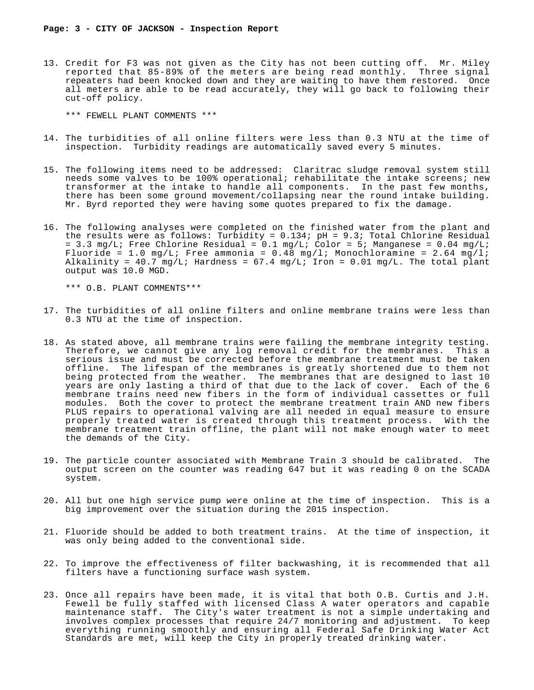13. Credit for F3 was not given as the City has not been cutting off. Mr. Miley reported that 85-89% of the meters are being read monthly. Three signal repeaters had been knocked down and they are waiting to have them restored. Once all meters are able to be read accurately, they will go back to following their cut-off policy.

\*\*\* FEWELL PLANT COMMENTS \*\*\*

- 14. The turbidities of all online filters were less than 0.3 NTU at the time of inspection. Turbidity readings are automatically saved every 5 minutes.
- 15. The following items need to be addressed: Claritrac sludge removal system still needs some valves to be 100% operational; rehabilitate the intake screens; new transformer at the intake to handle all components. In the past few months, there has been some ground movement/collapsing near the round intake building. Mr. Byrd reported they were having some quotes prepared to fix the damage.
- 16. The following analyses were completed on the finished water from the plant and the results were as follows: Turbidity = 0.134; pH = 9.3; Total Chlorine Residual = 3.3 mg/L; Free Chlorine Residual =  $0.1$  mg/L;  $\text{Color}$  = 5; Manganese = 0.04 mg/L; Fluoride = 1.0 mg/L; Free ammonia = 0.48 mg/l; Monochloramine = 2.64 mg/l; Alkalinity =  $40.7 \text{ mg/L}$ ; Hardness =  $67.4 \text{ mg/L}$ ; Iron =  $0.01 \text{ mg/L}$ . The total plant output was 10.0 MGD.

\*\*\* O.B. PLANT COMMENTS\*\*\*

- 17. The turbidities of all online filters and online membrane trains were less than 0.3 NTU at the time of inspection.
- 18. As stated above, all membrane trains were failing the membrane integrity testing. Therefore, we cannot give any log removal credit for the membranes. This a serious issue and must be corrected before the membrane treatment must be taken offline. The lifespan of the membranes is greatly shortened due to them not being protected from the weather. The membranes that are designed to last 10 years are only lasting a third of that due to the lack of cover. Each of the 6 membrane trains need new fibers in the form of individual cassettes or full modules. Both the cover to protect the membrane treatment train AND new fibers PLUS repairs to operational valving are all needed in equal measure to ensure properly treated water is created through this treatment process. With the membrane treatment train offline, the plant will not make enough water to meet the demands of the City.
- 19. The particle counter associated with Membrane Train 3 should be calibrated. The output screen on the counter was reading 647 but it was reading 0 on the SCADA system.
- 20. All but one high service pump were online at the time of inspection. This is a big improvement over the situation during the 2015 inspection.
- 21. Fluoride should be added to both treatment trains. At the time of inspection, it was only being added to the conventional side.
- 22. To improve the effectiveness of filter backwashing, it is recommended that all filters have a functioning surface wash system.
- 23. Once all repairs have been made, it is vital that both O.B. Curtis and J.H. Fewell be fully staffed with licensed Class A water operators and capable maintenance staff. The City's water treatment is not a simple undertaking and involves complex processes that require 24/7 monitoring and adjustment. To keep everything running smoothly and ensuring all Federal Safe Drinking Water Act Standards are met, will keep the City in properly treated drinking water.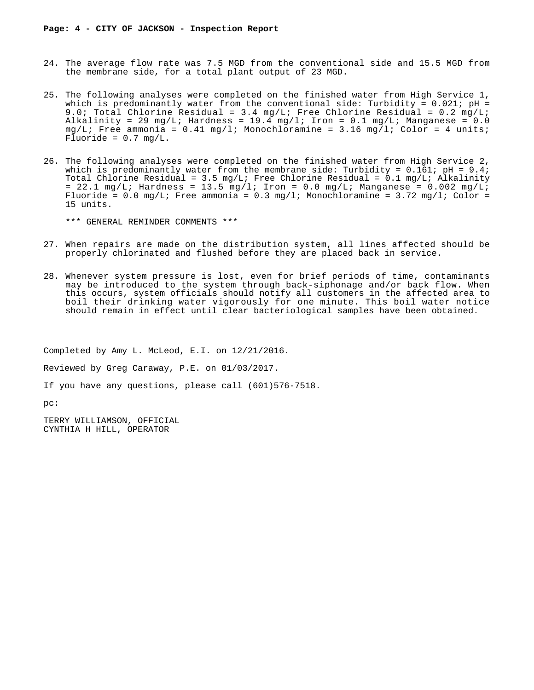- 24. The average flow rate was 7.5 MGD from the conventional side and 15.5 MGD from the membrane side, for a total plant output of 23 MGD.
- 25. The following analyses were completed on the finished water from High Service 1, which is predominantly water from the conventional side: Turbidity =  $0.021$ ; pH = 9.0; Total Chlorine Residual =  $3.4 \text{ mg/L}$ ; Free Chlorine Residual =  $0.2 \text{ mg/L}$ ; Alkalinity = 29 mg/L; Hardness = 19.4 mg/l; Iron = 0.1 mg/L; Manganese = 0.0  $mg/L$ ; Free ammonia = 0.41 mg/l; Monochloramine = 3.16 mg/l; Color = 4 units; Fluoride =  $0.7 \text{ mg/L}$ .
- 26. The following analyses were completed on the finished water from High Service 2, which is predominantly water from the membrane side: Turbidity =  $0.161$ ; pH =  $9.4$ ; Total Chlorine Residual = 3.5 mg/L; Free Chlorine Residual =  $0.1$  mg/L; Alkalinity = 22.1 mg/L; Hardness = 13.5 mg/l; Iron = 0.0 mg/L; Manganese = 0.002 mg/L; Fluoride =  $0.0$  mg/L; Free ammonia =  $0.3$  mg/l; Monochloramine =  $3.72$  mg/l; Color = 15 units.

\*\*\* GENERAL REMINDER COMMENTS \*\*\*

- 27. When repairs are made on the distribution system, all lines affected should be properly chlorinated and flushed before they are placed back in service.
- 28. Whenever system pressure is lost, even for brief periods of time, contaminants may be introduced to the system through back-siphonage and/or back flow. When this occurs, system officials should notify all customers in the affected area to boil their drinking water vigorously for one minute. This boil water notice should remain in effect until clear bacteriological samples have been obtained.

Completed by Amy L. McLeod, E.I. on 12/21/2016.

Reviewed by Greg Caraway, P.E. on 01/03/2017.

If you have any questions, please call (601)576-7518.

pc:

TERRY WILLIAMSON, OFFICIAL CYNTHIA H HILL, OPERATOR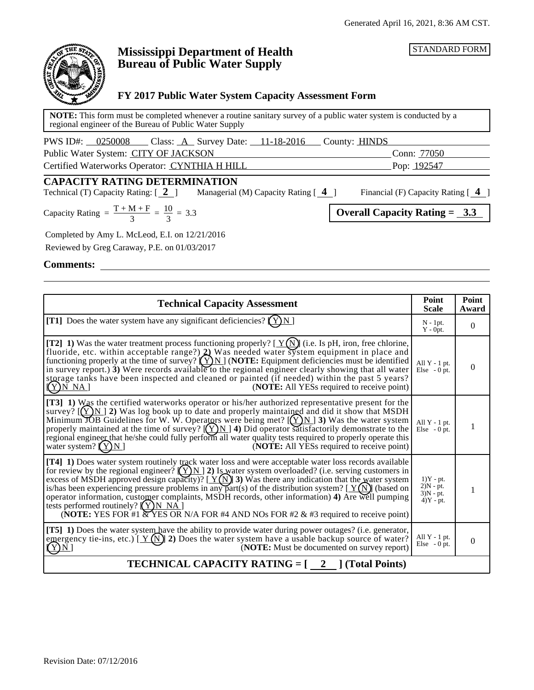STANDARD FORM



# **Mississippi Department of Health Bureau of Public Water Supply**

## **FY 2017 Public Water System Capacity Assessment Form**

**NOTE:** This form must be completed whenever a routine sanitary survey of a public water system is conducted by a regional engineer of the Bureau of Public Water Supply

| PWS ID#: 0250008<br>_ Class: <u>A</u> Survey Date: <u>__11-18-2016</u> | County: <b>HINDS</b> |  |
|------------------------------------------------------------------------|----------------------|--|
| Public Water System: CITY OF JACKSON                                   | Conn: 77050          |  |
| Certified Waterworks Operator: CYNTHIA H HILL                          | Pop: <u>192547</u>   |  |

## **CAPACITY RATING DETERMINATION**

Technical (T) Capacity Rating: [ **2** ] Managerial (M) Capacity Rating [ **4** ] Financial (F) Capacity Rating [ **4** ]

Capacity Rating  $= \frac{T + M + F}{2} = \frac{10}{2} = 3.3$  Overall Capacity Rating = 3.3 =  $1<sub>0</sub>$ = 3.3

| city Rating | $1 + W1 + \Gamma$ |  |
|-------------|-------------------|--|
|             |                   |  |

Completed by Amy L. McLeod, E.I. on 12/21/2016

Reviewed by Greg Caraway, P.E. on 01/03/2017

**Comments:**

| <b>Technical Capacity Assessment</b>                                                                                                                                                                                                                                                                                                                                                                                                                                                                                                                                                                                                                                              | Point<br><b>Scale</b>                                    | Point<br>Award |  |
|-----------------------------------------------------------------------------------------------------------------------------------------------------------------------------------------------------------------------------------------------------------------------------------------------------------------------------------------------------------------------------------------------------------------------------------------------------------------------------------------------------------------------------------------------------------------------------------------------------------------------------------------------------------------------------------|----------------------------------------------------------|----------------|--|
| [T1] Does the water system have any significant deficiencies? $(Y)N$ ]                                                                                                                                                                                                                                                                                                                                                                                                                                                                                                                                                                                                            | $N - 1pt$ .<br>$Y - 0pt.$                                | $\mathbf{0}$   |  |
| [T2] 1) Was the water treatment process functioning properly? $[\underline{Y(N)}]$ (i.e. Is pH, iron, free chlorine, fluoride, etc. within acceptable range?) 2) Was needed water system equipment in place and<br>functioning properly at the time of survey? $(Y)N$ (NOTE: Equipment deficiencies must be identified<br>in survey report.) $\hat{\mathbf{3}}$ ) Were records available to the regional engineer clearly showing that all water<br>storage tanks have been inspected and cleaned or painted (if needed) within the past 5 years?<br>(NOTE: All YESs required to receive point)<br>$(Y)$ N NA]                                                                    | All $Y - 1$ pt.<br>Else $-0$ pt.                         | $\Omega$       |  |
| [T3] 1) Was the certified waterworks operator or his/her authorized representative present for the<br>survey? $[(Y)N]$ 2) Was log book up to date and properly maintained and did it show that MSDH<br>Minimum JOB Guidelines for W. W. Operators were being met? $[(Y)N]$ 3) Was the water system<br>properly maintained at the time of survey? $[(Y)N]$ 4) Did operator satisfactorily demonstrate to the<br>regional engineer that he/she could fully perform all water quality tests required to properly operate this<br>(NOTE: All YESs required to receive point)<br>water system? $(Y)N$                                                                                  | All $Y - 1$ pt.<br>Else $-0$ pt.                         | 1              |  |
| [T4] 1) Does water system routinely track water loss and were acceptable water loss records available<br>for review by the regional engineer? $(\sum N)$ 2) Is water system overloaded? (i.e. serving customers in excess of MSDH approved design capacity)? [ $Y(\widehat{N})$ 3) Was there any indication that the water system<br>is/has been experiencing pressure problems in any part(s) of the distribution system? $[Y(N)]$ (based on<br>operator information, customer complaints, MSDH records, other information) 4) Are well pumping<br>tests performed routinely? $(Y)$ N NA<br>(NOTE: YES FOR #1 & YES OR N/A FOR #4 AND NOs FOR #2 & #3 required to receive point) | $1)Y - pt.$<br>$2)N - pt.$<br>$3)N - pt.$<br>$4)Y - pt.$ | 1              |  |
| [T5] 1) Does the water system have the ability to provide water during power outages? (i.e. generator,<br>emergency tie-ins, etc.) [ $Y(N)$ ] 2) Does the water system have a usable backup source of water?<br>(NOTE: Must be documented on survey report)<br>Y)N]                                                                                                                                                                                                                                                                                                                                                                                                               | All $Y - 1$ pt.<br>Else $-0$ pt.                         | $\overline{0}$ |  |
| <b>TECHNICAL CAPACITY RATING = [</b><br>2 (Total Points)                                                                                                                                                                                                                                                                                                                                                                                                                                                                                                                                                                                                                          |                                                          |                |  |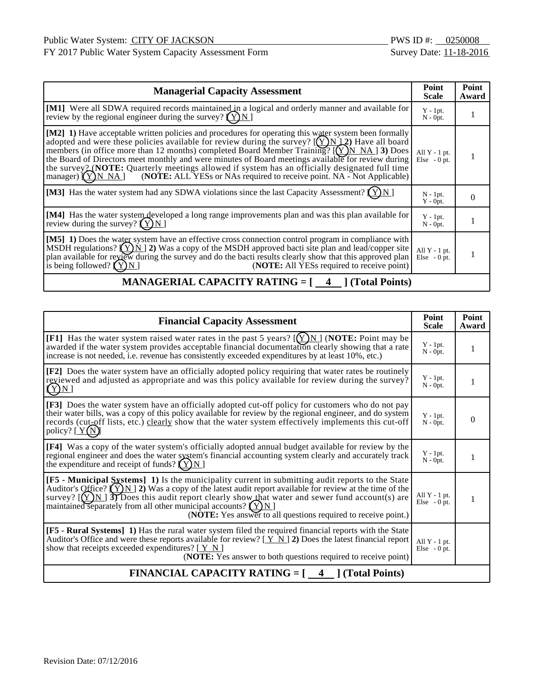FY 2017 Public Water System Capacity Assessment Form Survey Date: 11-18-2016

| <b>Managerial Capacity Assessment</b>                                                                                                                                                                                                                                                                                                                                                                                                                                                                                                                                                                              | Point<br><b>Scale</b>             | Point<br>Award |
|--------------------------------------------------------------------------------------------------------------------------------------------------------------------------------------------------------------------------------------------------------------------------------------------------------------------------------------------------------------------------------------------------------------------------------------------------------------------------------------------------------------------------------------------------------------------------------------------------------------------|-----------------------------------|----------------|
| [M1] Were all SDWA required records maintained in a logical and orderly manner and available for<br>review by the regional engineer during the survey? $(Y)N$                                                                                                                                                                                                                                                                                                                                                                                                                                                      | $Y - 1pt.$<br>$N - 0pt.$          |                |
| [M2] 1) Have acceptable written policies and procedures for operating this water system been formally<br>adopted and were these policies available for review during the survey? $[(Y)N]2$ Have all board<br>members (in office more than 12 months) completed Board Member Training? $[(Y)NNA]$ 3) Does<br>the Board of Directors meet monthly and were minutes of Board meetings available for review during<br>the survey 2 (NOTE: Quarterly meetings allowed if system has an officially designated full time<br>(NOTE: ALL YESs or NAs required to receive point. NA - Not Applicable)<br>manager) $(Y)$ N NA | All $Y - 1$ pt.<br>$Else - 0 pt.$ |                |
| [M3] Has the water system had any SDWA violations since the last Capacity Assessment? $(Y)N$ ]                                                                                                                                                                                                                                                                                                                                                                                                                                                                                                                     | $N - 1pt$ .<br>$Y - 0pt.$         | 0              |
| [M4] Has the water system developed a long range improvements plan and was this plan available for<br>review during the survey? $(Y)N$                                                                                                                                                                                                                                                                                                                                                                                                                                                                             | $Y - 1pt.$<br>$N - Opt.$          |                |
| [M5] 1) Does the water system have an effective cross connection control program in compliance with<br>MSDH regulations? $(Y)$ N   2) Was a copy of the MSDH approved bacti site plan and lead/copper site<br>plan available for review during the survey and do the bacti results clearly show that this approved plan<br>is being followed? $(Y)N$<br>( <b>NOTE:</b> All YESs required to receive point)                                                                                                                                                                                                         | All $Y - 1$ pt.<br>$Else - 0 pt.$ |                |

# **MANAGERIAL CAPACITY RATING = [4 ] (Total Points)**

| <b>Financial Capacity Assessment</b>                                                                                                                                                                                                                                                                                                                                                                                                                                         | Point<br><b>Scale</b>            | Point<br>Award |  |
|------------------------------------------------------------------------------------------------------------------------------------------------------------------------------------------------------------------------------------------------------------------------------------------------------------------------------------------------------------------------------------------------------------------------------------------------------------------------------|----------------------------------|----------------|--|
| [F1] Has the water system raised water rates in the past 5 years? $[(Y)N]$ (NOTE: Point may be<br>awarded if the water system provides acceptable financial documentation clearly showing that a rate<br>increase is not needed, i.e. revenue has consistently exceeded expenditures by at least 10%, etc.)                                                                                                                                                                  | $Y - 1pt.$<br>$N - 0pt$ .        | 1              |  |
| [F2] Does the water system have an officially adopted policy requiring that water rates be routinely<br>reviewed and adjusted as appropriate and was this policy available for review during the survey?<br>$(Y)N$ ]                                                                                                                                                                                                                                                         | $Y - 1pt$ .<br>$N - 0pt$ .       | 1              |  |
| [F3] Does the water system have an officially adopted cut-off policy for customers who do not pay<br>their water bills, was a copy of this policy available for review by the regional engineer, and do system<br>records (cut-off lists, etc.) clearly show that the water system effectively implements this cut-off<br>policy? $[\underline{Y(N)}]$                                                                                                                       | $Y - 1pt$ .<br>$N - Opt.$        | $\Omega$       |  |
| [F4] Was a copy of the water system's officially adopted annual budget available for review by the<br>regional engineer and does the water system's financial accounting system clearly and accurately track<br>the expenditure and receipt of funds? $(Y)N$                                                                                                                                                                                                                 | $Y - 1pt.$<br>$N - 0pt.$         |                |  |
| [F5 - Municipal Systems] 1) Is the municipality current in submitting audit reports to the State<br>Auditor's Office? $(\overleftrightarrow{Y} N)$ 2) Was a copy of the latest audit report available for review at the time of the<br>survey? $[(Y)N]$ 3) Does this audit report clearly show that water and sewer fund account(s) are<br>maintained separately from all other municipal accounts? $(Y)N$<br>(NOTE: Yes answer to all questions required to receive point.) | All $Y - 1$ pt.<br>Else $-0$ pt. | 1              |  |
| [F5 - Rural Systems] 1) Has the rural water system filed the required financial reports with the State<br>Auditor's Office and were these reports available for review? $[\underline{Y} \underline{N}]$ 2) Does the latest financial report<br>show that receipts exceeded expenditures? $[\underline{Y} \underline{N}]$<br>( <b>NOTE:</b> Yes answer to both questions required to receive point)                                                                           | All $Y - 1$ pt.<br>Else $-0$ pt. |                |  |
| <b>FINANCIAL CAPACITY RATING = <math>\begin{bmatrix} 4 &amp; 3 \end{bmatrix}</math> (Total Points)</b>                                                                                                                                                                                                                                                                                                                                                                       |                                  |                |  |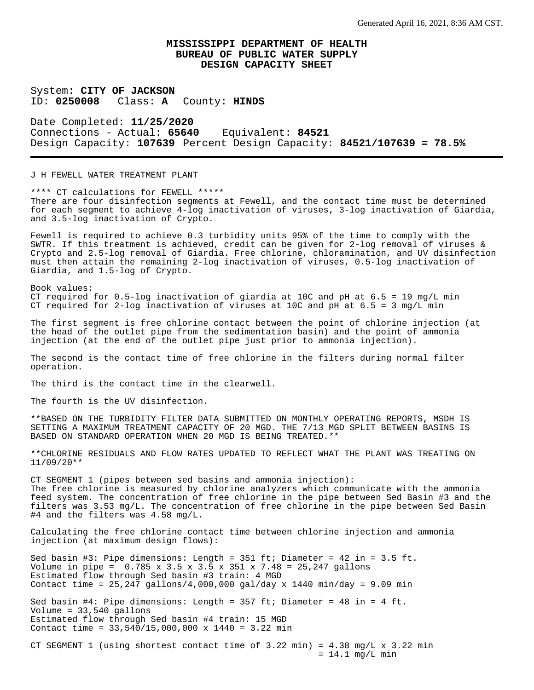System: **CITY OF JACKSON** ID: **0250008** Class: **A** County: **HINDS**

Date Completed: **11/25/2020** Connections - Actual: **65640** Equivalent: **84521** Design Capacity: **107639** Percent Design Capacity: **84521/107639 = 78.5%**

J H FEWELL WATER TREATMENT PLANT

\*\*\*\* CT calculations for FEWELL \*\*\*\*\* There are four disinfection segments at Fewell, and the contact time must be determined for each segment to achieve 4-log inactivation of viruses, 3-log inactivation of Giardia, and 3.5-log inactivation of Crypto.

Fewell is required to achieve 0.3 turbidity units 95% of the time to comply with the SWTR. If this treatment is achieved, credit can be given for 2-log removal of viruses & Crypto and 2.5-log removal of Giardia. Free chlorine, chloramination, and UV disinfection must then attain the remaining 2-log inactivation of viruses, 0.5-log inactivation of Giardia, and 1.5-log of Crypto.

Book values: CT required for  $0.5$ -log inactivation of giardia at 10C and pH at  $6.5 = 19$  mg/L min CT required for 2-log inactivation of viruses at 10C and pH at  $6.5 = 3$  mg/L min

The first segment is free chlorine contact between the point of chlorine injection (at the head of the outlet pipe from the sedimentation basin) and the point of ammonia injection (at the end of the outlet pipe just prior to ammonia injection).

The second is the contact time of free chlorine in the filters during normal filter operation.

The third is the contact time in the clearwell.

The fourth is the UV disinfection.

\*\*BASED ON THE TURBIDITY FILTER DATA SUBMITTED ON MONTHLY OPERATING REPORTS, MSDH IS SETTING A MAXIMUM TREATMENT CAPACITY OF 20 MGD. THE 7/13 MGD SPLIT BETWEEN BASINS IS BASED ON STANDARD OPERATION WHEN 20 MGD IS BEING TREATED.\*\*

\*\*CHLORINE RESIDUALS AND FLOW RATES UPDATED TO REFLECT WHAT THE PLANT WAS TREATING ON 11/09/20\*\*

CT SEGMENT 1 (pipes between sed basins and ammonia injection): The free chlorine is measured by chlorine analyzers which communicate with the ammonia feed system. The concentration of free chlorine in the pipe between Sed Basin #3 and the filters was 3.53 mg/L. The concentration of free chlorine in the pipe between Sed Basin #4 and the filters was 4.58 mg/L.

Calculating the free chlorine contact time between chlorine injection and ammonia injection (at maximum design flows):

Sed basin #3: Pipe dimensions: Length = 351 ft; Diameter = 42 in = 3.5 ft. Volume in pipe =  $0.785 \times 3.5 \times 3.5 \times 351 \times 7.48 = 25,247$  gallons Estimated flow through Sed basin #3 train: 4 MGD Contact time =  $25,247$  gallons/4,000,000 gal/day x 1440 min/day = 9.09 min Sed basin #4: Pipe dimensions: Length =  $357$  ft; Diameter =  $48$  in =  $4$  ft. Volume = 33,540 gallons Estimated flow through Sed basin #4 train: 15 MGD Contact time = 33,540/15,000,000 x 1440 = 3.22 min

CT SEGMENT 1 (using shortest contact time of  $3.22$  min) =  $4.38$  mg/L x  $3.22$  min  $= 14.1$  mg/L min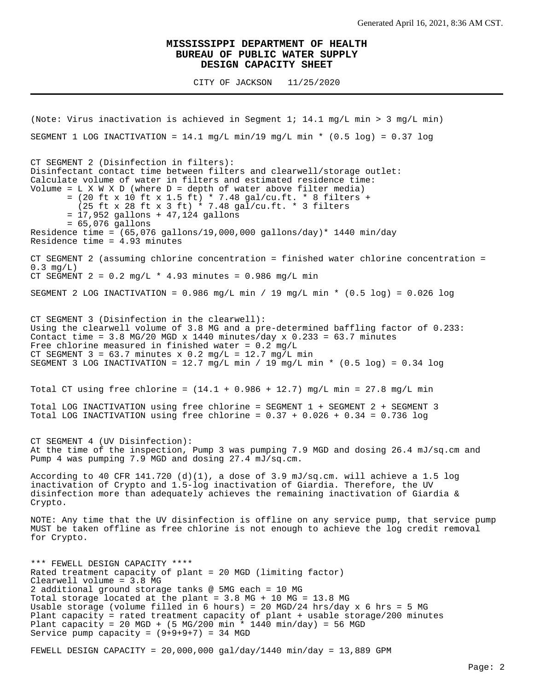CITY OF JACKSON 11/25/2020

(Note: Virus inactivation is achieved in Segment 1; 14.1 mg/L min > 3 mg/L min) SEGMENT 1 LOG INACTIVATION =  $14.1$  mg/L min/19 mg/L min \* (0.5 log) = 0.37 log CT SEGMENT 2 (Disinfection in filters): Disinfectant contact time between filters and clearwell/storage outlet: Calculate volume of water in filters and estimated residence time: Volume =  $L X W X D$  (where  $D =$  depth of water above filter media) = (20 ft x 10 ft x 1.5 ft) \* 7.48 gal/cu.ft. \* 8 filters + (25 ft x 28 ft x 3 ft) \* 7.48 gal/cu.ft. \* 3 filters = 17,952 gallons + 47,124 gallons = 65,076 gallons Residence time =  $(65,076 \text{ gallons}/19,000,000 \text{ gallons/day})* 1440 \text{ min/day}$ Residence time = 4.93 minutes CT SEGMENT 2 (assuming chlorine concentration = finished water chlorine concentration =  $0.3$  mg/L) CT SEGMENT  $2 = 0.2$  mg/L  $*$  4.93 minutes = 0.986 mg/L min SEGMENT 2 LOG INACTIVATION =  $0.986$  mg/L min / 19 mg/L min \*  $(0.5 \text{ log})$  =  $0.026$  log CT SEGMENT 3 (Disinfection in the clearwell): Using the clearwell volume of 3.8 MG and a pre-determined baffling factor of 0.233: Contact time =  $3.8$  MG/20 MGD x 1440 minutes/day x 0.233 =  $63.7$  minutes Free chlorine measured in finished water =  $0.2$  mg/L CT SEGMENT  $3 = 63.7$  minutes x 0.2 mg/L = 12.7 mg/L min SEGMENT 3 LOG INACTIVATION =  $12.7$  mg/L min / 19 mg/L min \* (0.5 log) = 0.34 log Total CT using free chlorine =  $(14.1 + 0.986 + 12.7)$  mg/L min = 27.8 mg/L min Total LOG INACTIVATION using free chlorine = SEGMENT 1 + SEGMENT 2 + SEGMENT 3 Total LOG INACTIVATION using free chlorine =  $0.37 + 0.026 + 0.34 = 0.736$  log CT SEGMENT 4 (UV Disinfection): At the time of the inspection, Pump 3 was pumping 7.9 MGD and dosing 26.4 mJ/sq.cm and Pump 4 was pumping 7.9 MGD and dosing 27.4 mJ/sq.cm. According to 40 CFR 141.720 (d)(1), a dose of 3.9 mJ/sq.cm. will achieve a 1.5 log inactivation of Crypto and 1.5-log inactivation of Giardia. Therefore, the UV disinfection more than adequately achieves the remaining inactivation of Giardia & Crypto. NOTE: Any time that the UV disinfection is offline on any service pump, that service pump MUST be taken offline as free chlorine is not enough to achieve the log credit removal for Crypto. \*\*\* FEWELL DESIGN CAPACITY \*\*\*\* Rated treatment capacity of plant = 20 MGD (limiting factor) Clearwell volume = 3.8 MG 2 additional ground storage tanks @ 5MG each = 10 MG Total storage located at the plant = 3.8 MG + 10 MG = 13.8 MG Usable storage (volume filled in 6 hours) = 20 MGD/24 hrs/day  $x$  6 hrs = 5 MG Plant capacity = rated treatment capacity of plant + usable storage/200 minutes Plant capacity = 20 MGD + (5 MG/200 min \* 1440 min/day) = 56 MGD Service pump capacity =  $(9+9+9+7)$  = 34 MGD

FEWELL DESIGN CAPACITY =  $20,000,000$  gal/day/1440 min/day = 13,889 GPM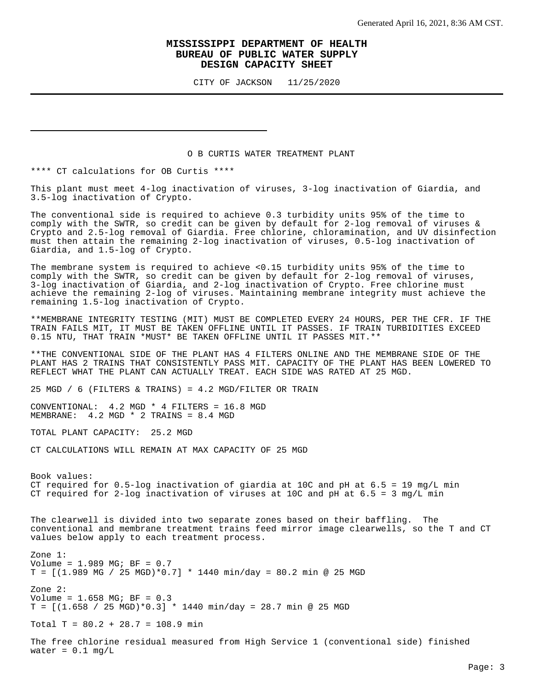CITY OF JACKSON 11/25/2020

#### O B CURTIS WATER TREATMENT PLANT

\*\*\*\* CT calculations for OB Curtis \*\*\*\*

This plant must meet 4-log inactivation of viruses, 3-log inactivation of Giardia, and 3.5-log inactivation of Crypto.

The conventional side is required to achieve 0.3 turbidity units 95% of the time to comply with the SWTR, so credit can be given by default for 2-log removal of viruses & Crypto and 2.5-log removal of Giardia. Free chlorine, chloramination, and UV disinfection must then attain the remaining 2-log inactivation of viruses, 0.5-log inactivation of Giardia, and 1.5-log of Crypto.

The membrane system is required to achieve <0.15 turbidity units 95% of the time to comply with the SWTR, so credit can be given by default for 2-log removal of viruses, 3-log inactivation of Giardia, and 2-log inactivation of Crypto. Free chlorine must achieve the remaining 2-log of viruses. Maintaining membrane integrity must achieve the remaining 1.5-log inactivation of Crypto.

\*\*MEMBRANE INTEGRITY TESTING (MIT) MUST BE COMPLETED EVERY 24 HOURS, PER THE CFR. IF THE TRAIN FAILS MIT, IT MUST BE TAKEN OFFLINE UNTIL IT PASSES. IF TRAIN TURBIDITIES EXCEED 0.15 NTU, THAT TRAIN \*MUST\* BE TAKEN OFFLINE UNTIL IT PASSES MIT.\*\*

\*\*THE CONVENTIONAL SIDE OF THE PLANT HAS 4 FILTERS ONLINE AND THE MEMBRANE SIDE OF THE PLANT HAS 2 TRAINS THAT CONSISTENTLY PASS MIT. CAPACITY OF THE PLANT HAS BEEN LOWERED TO REFLECT WHAT THE PLANT CAN ACTUALLY TREAT. EACH SIDE WAS RATED AT 25 MGD.

25 MGD / 6 (FILTERS & TRAINS) =  $4.2$  MGD/FILTER OR TRAIN

CONVENTIONAL: 4.2 MGD \* 4 FILTERS = 16.8 MGD MEMBRANE: 4.2 MGD \* 2 TRAINS = 8.4 MGD

TOTAL PLANT CAPACITY: 25.2 MGD

CT CALCULATIONS WILL REMAIN AT MAX CAPACITY OF 25 MGD

Book values: CT required for  $0.5$ -log inactivation of giardia at 10C and pH at  $6.5 = 19$  mg/L min CT required for 2-log inactivation of viruses at 10C and pH at  $6.5 = 3$  mg/L min

The clearwell is divided into two separate zones based on their baffling. The conventional and membrane treatment trains feed mirror image clearwells, so the T and CT values below apply to each treatment process.

Zone 1: Volume = 1.989 MG; BF = 0.7  $T = [(1.989 \text{ MG} / 25 \text{ MGD})*0.7] * 1440 \text{ min/day} = 80.2 \text{ min}$  @ 25 MGD Zone 2: Volume = 1.658 MG; BF = 0.3  $T = [(1.658 / 25 MGD)*0.3] * 1440 m in/day = 28.7 m in @ 25 MGD$ 

Total T =  $80.2 + 28.7 = 108.9$  min

The free chlorine residual measured from High Service 1 (conventional side) finished water =  $0.1$  mg/L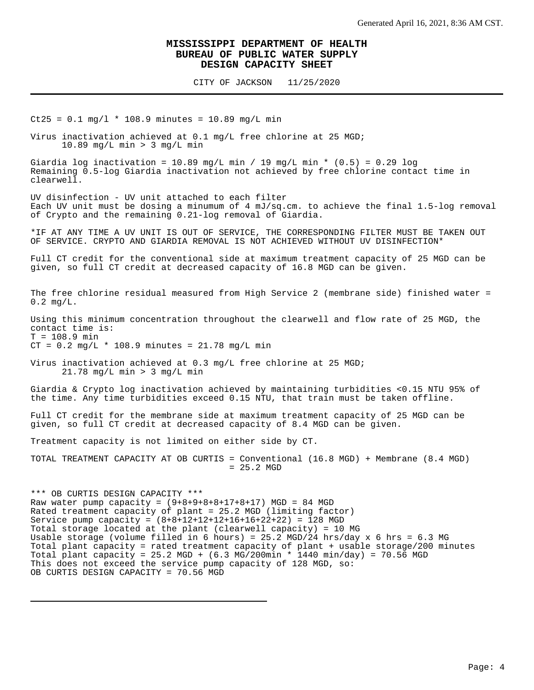CITY OF JACKSON 11/25/2020

 $Ct25 = 0.1$  mg/l \* 108.9 minutes = 10.89 mg/L min

Virus inactivation achieved at 0.1 mg/L free chlorine at 25 MGD; 10.89 mg/L min > 3 mg/L min

Giardia log inactivation = 10.89 mg/L min / 19 mg/L min \*  $(0.5)$  = 0.29 log Remaining 0.5-log Giardia inactivation not achieved by free chlorine contact time in clearwell.

UV disinfection - UV unit attached to each filter Each UV unit must be dosing a minumum of 4 mJ/sq.cm. to achieve the final 1.5-log removal of Crypto and the remaining 0.21-log removal of Giardia.

\*IF AT ANY TIME A UV UNIT IS OUT OF SERVICE, THE CORRESPONDING FILTER MUST BE TAKEN OUT OF SERVICE. CRYPTO AND GIARDIA REMOVAL IS NOT ACHIEVED WITHOUT UV DISINFECTION\*

Full CT credit for the conventional side at maximum treatment capacity of 25 MGD can be given, so full CT credit at decreased capacity of 16.8 MGD can be given.

The free chlorine residual measured from High Service 2 (membrane side) finished water = 0.2 mg/L.

Using this minimum concentration throughout the clearwell and flow rate of 25 MGD, the contact time is:  $T = 108.9$  min

 $CT = 0.2 mg/L * 108.9 minutes = 21.78 mg/L min$ 

Virus inactivation achieved at 0.3 mg/L free chlorine at 25 MGD; 21.78 mg/L min > 3 mg/L min

Giardia & Crypto log inactivation achieved by maintaining turbidities <0.15 NTU 95% of the time. Any time turbidities exceed 0.15 NTU, that train must be taken offline.

Full CT credit for the membrane side at maximum treatment capacity of 25 MGD can be given, so full CT credit at decreased capacity of 8.4 MGD can be given.

Treatment capacity is not limited on either side by CT.

TOTAL TREATMENT CAPACITY AT OB CURTIS = Conventional (16.8 MGD) + Membrane (8.4 MGD) = 25.2 MGD

\*\*\* OB CURTIS DESIGN CAPACITY \*\*\* Raw water pump capacity =  $(9+8+9+8+8+17+8+17)$  MGD = 84 MGD Rated treatment capacity of plant = 25.2 MGD (limiting factor) Service pump capacity =  $(8+8+12+12+12+16+16+22+22) = 128$  MGD Total storage located at the plant (clearwell capacity) = 10 MG Usable storage (volume filled in 6 hours) = 25.2 MGD/24 hrs/day x 6 hrs = 6.3 MG Total plant capacity = rated treatment capacity of plant + usable storage/200 minutes Total plant capacity = 25.2 MGD +  $(6.3 \text{ MG}/200 \text{min} * 1440 \text{ min}/\text{day}) = 70.56 \text{ MGD}$ This does not exceed the service pump capacity of 128 MGD, so: OB CURTIS DESIGN CAPACITY = 70.56 MGD